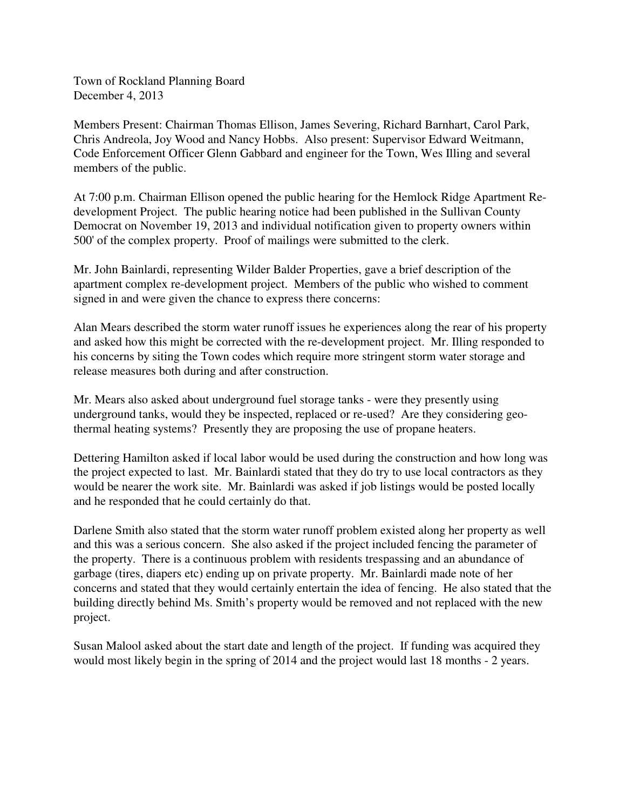Town of Rockland Planning Board December 4, 2013

Members Present: Chairman Thomas Ellison, James Severing, Richard Barnhart, Carol Park, Chris Andreola, Joy Wood and Nancy Hobbs. Also present: Supervisor Edward Weitmann, Code Enforcement Officer Glenn Gabbard and engineer for the Town, Wes Illing and several members of the public.

At 7:00 p.m. Chairman Ellison opened the public hearing for the Hemlock Ridge Apartment Redevelopment Project. The public hearing notice had been published in the Sullivan County Democrat on November 19, 2013 and individual notification given to property owners within 500' of the complex property. Proof of mailings were submitted to the clerk.

Mr. John Bainlardi, representing Wilder Balder Properties, gave a brief description of the apartment complex re-development project. Members of the public who wished to comment signed in and were given the chance to express there concerns:

Alan Mears described the storm water runoff issues he experiences along the rear of his property and asked how this might be corrected with the re-development project. Mr. Illing responded to his concerns by siting the Town codes which require more stringent storm water storage and release measures both during and after construction.

Mr. Mears also asked about underground fuel storage tanks - were they presently using underground tanks, would they be inspected, replaced or re-used? Are they considering geothermal heating systems? Presently they are proposing the use of propane heaters.

Dettering Hamilton asked if local labor would be used during the construction and how long was the project expected to last. Mr. Bainlardi stated that they do try to use local contractors as they would be nearer the work site. Mr. Bainlardi was asked if job listings would be posted locally and he responded that he could certainly do that.

Darlene Smith also stated that the storm water runoff problem existed along her property as well and this was a serious concern. She also asked if the project included fencing the parameter of the property. There is a continuous problem with residents trespassing and an abundance of garbage (tires, diapers etc) ending up on private property. Mr. Bainlardi made note of her concerns and stated that they would certainly entertain the idea of fencing. He also stated that the building directly behind Ms. Smith's property would be removed and not replaced with the new project.

Susan Malool asked about the start date and length of the project. If funding was acquired they would most likely begin in the spring of 2014 and the project would last 18 months - 2 years.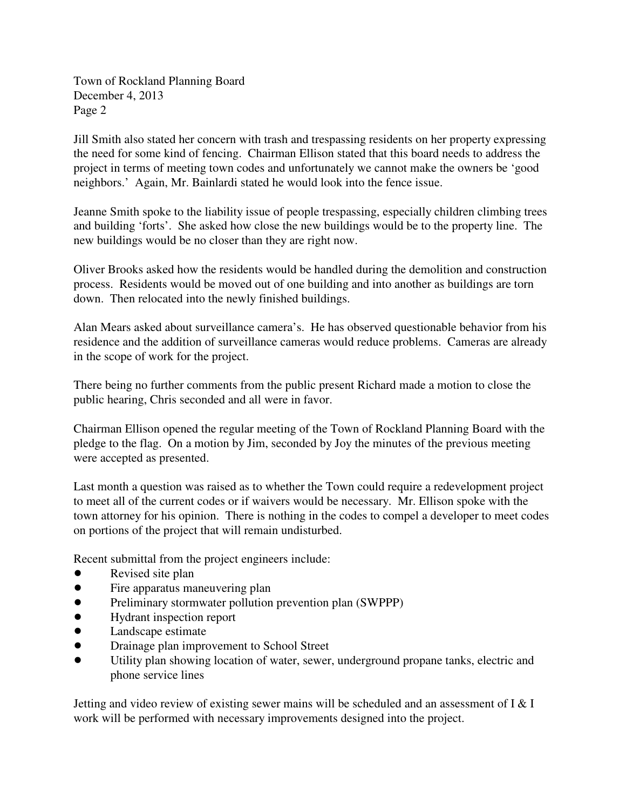Town of Rockland Planning Board December 4, 2013 Page 2

Jill Smith also stated her concern with trash and trespassing residents on her property expressing the need for some kind of fencing. Chairman Ellison stated that this board needs to address the project in terms of meeting town codes and unfortunately we cannot make the owners be 'good neighbors.' Again, Mr. Bainlardi stated he would look into the fence issue.

Jeanne Smith spoke to the liability issue of people trespassing, especially children climbing trees and building 'forts'. She asked how close the new buildings would be to the property line. The new buildings would be no closer than they are right now.

Oliver Brooks asked how the residents would be handled during the demolition and construction process. Residents would be moved out of one building and into another as buildings are torn down. Then relocated into the newly finished buildings.

Alan Mears asked about surveillance camera's. He has observed questionable behavior from his residence and the addition of surveillance cameras would reduce problems. Cameras are already in the scope of work for the project.

There being no further comments from the public present Richard made a motion to close the public hearing, Chris seconded and all were in favor.

Chairman Ellison opened the regular meeting of the Town of Rockland Planning Board with the pledge to the flag. On a motion by Jim, seconded by Joy the minutes of the previous meeting were accepted as presented.

Last month a question was raised as to whether the Town could require a redevelopment project to meet all of the current codes or if waivers would be necessary. Mr. Ellison spoke with the town attorney for his opinion. There is nothing in the codes to compel a developer to meet codes on portions of the project that will remain undisturbed.

Recent submittal from the project engineers include:

- Revised site plan
- Fire apparatus maneuvering plan
- ! Preliminary stormwater pollution prevention plan (SWPPP)
- ! Hydrant inspection report
- Landscape estimate
- Drainage plan improvement to School Street
- ! Utility plan showing location of water, sewer, underground propane tanks, electric and phone service lines

Jetting and video review of existing sewer mains will be scheduled and an assessment of I & I work will be performed with necessary improvements designed into the project.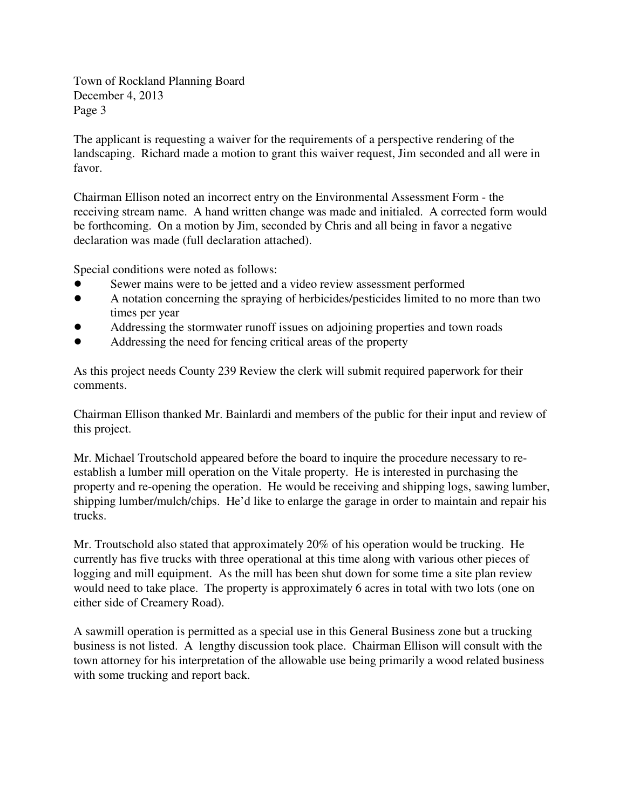Town of Rockland Planning Board December 4, 2013 Page 3

The applicant is requesting a waiver for the requirements of a perspective rendering of the landscaping. Richard made a motion to grant this waiver request, Jim seconded and all were in favor.

Chairman Ellison noted an incorrect entry on the Environmental Assessment Form - the receiving stream name. A hand written change was made and initialed. A corrected form would be forthcoming. On a motion by Jim, seconded by Chris and all being in favor a negative declaration was made (full declaration attached).

Special conditions were noted as follows:

- Sewer mains were to be jetted and a video review assessment performed
- ! A notation concerning the spraying of herbicides/pesticides limited to no more than two times per year
- ! Addressing the stormwater runoff issues on adjoining properties and town roads
- Addressing the need for fencing critical areas of the property

As this project needs County 239 Review the clerk will submit required paperwork for their comments.

Chairman Ellison thanked Mr. Bainlardi and members of the public for their input and review of this project.

Mr. Michael Troutschold appeared before the board to inquire the procedure necessary to reestablish a lumber mill operation on the Vitale property. He is interested in purchasing the property and re-opening the operation. He would be receiving and shipping logs, sawing lumber, shipping lumber/mulch/chips. He'd like to enlarge the garage in order to maintain and repair his trucks.

Mr. Troutschold also stated that approximately 20% of his operation would be trucking. He currently has five trucks with three operational at this time along with various other pieces of logging and mill equipment. As the mill has been shut down for some time a site plan review would need to take place. The property is approximately 6 acres in total with two lots (one on either side of Creamery Road).

A sawmill operation is permitted as a special use in this General Business zone but a trucking business is not listed. A lengthy discussion took place. Chairman Ellison will consult with the town attorney for his interpretation of the allowable use being primarily a wood related business with some trucking and report back.